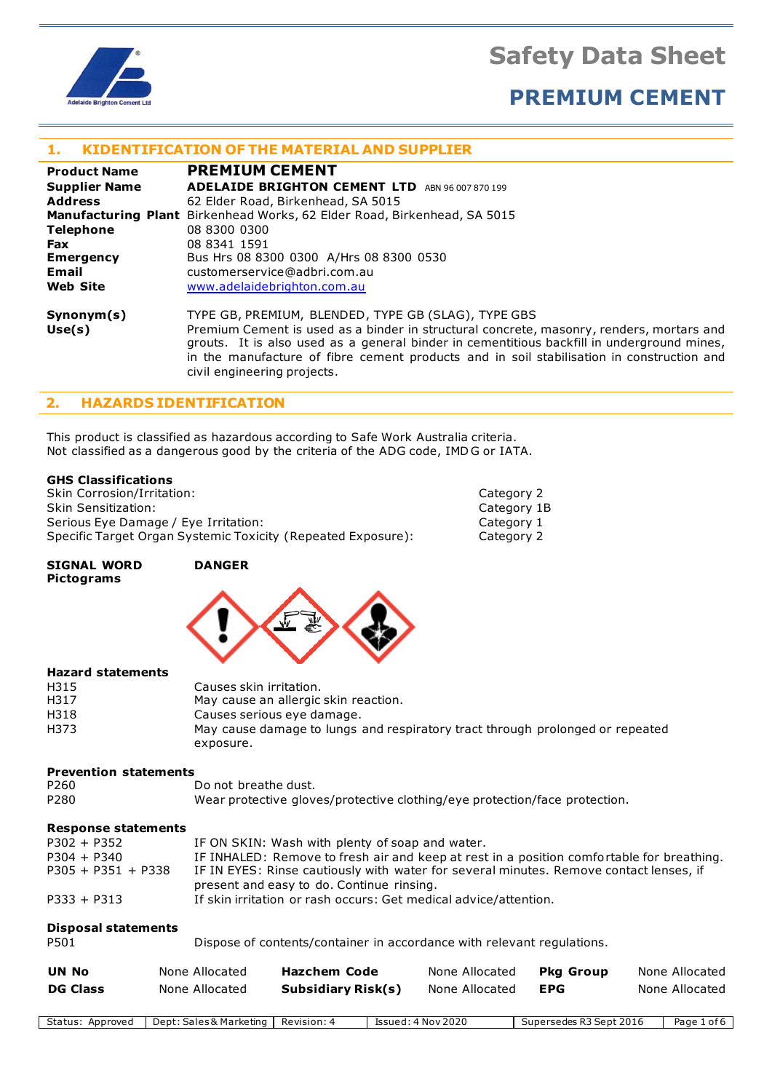

## **PREMIUM CEMENT**

#### **1. KIDENTIFICATION OF THE MATERIAL AND SUPPLIER**

| <b>Product Name</b>  | <b>PREMIUM CEMENT</b>                                                                                                                                                                                                                                                               |
|----------------------|-------------------------------------------------------------------------------------------------------------------------------------------------------------------------------------------------------------------------------------------------------------------------------------|
| <b>Supplier Name</b> | <b>ADELAIDE BRIGHTON CEMENT LTD</b><br>ABN 96 007 870 199                                                                                                                                                                                                                           |
| <b>Address</b>       | 62 Elder Road, Birkenhead, SA 5015                                                                                                                                                                                                                                                  |
|                      | <b>Manufacturing Plant</b> Birkenhead Works, 62 Elder Road, Birkenhead, SA 5015                                                                                                                                                                                                     |
| <b>Telephone</b>     | 08 8300 0300                                                                                                                                                                                                                                                                        |
| <b>Fax</b>           | 08 8341 1591                                                                                                                                                                                                                                                                        |
| <b>Emergency</b>     | Bus Hrs 08 8300 0300 A/Hrs 08 8300 0530                                                                                                                                                                                                                                             |
| Email                | customerservice@adbri.com.au                                                                                                                                                                                                                                                        |
| <b>Web Site</b>      | www.adelaidebrighton.com.au                                                                                                                                                                                                                                                         |
| Synonym(s)           | TYPE GB, PREMIUM, BLENDED, TYPE GB (SLAG), TYPE GBS                                                                                                                                                                                                                                 |
| Use(s)               | Premium Cement is used as a binder in structural concrete, masonry, renders, mortars and<br>grouts. It is also used as a general binder in cementitious backfill in underground mines,<br>in the manufacture of fibre cement products and in soil stabilisation in construction and |

#### **2. HAZARDS IDENTIFICATION**

This product is classified as hazardous according to Safe Work Australia criteria. Not classified as a dangerous good by the criteria of the ADG code, IMD G or IATA.

civil engineering projects.

#### **GHS Classifications**

Skin Corrosion/Irritation: Category 2 Skin Sensitization: Category 1B Serious Eye Damage / Eye Irritation: Category 1 Category 1<br>
Specific Target Organ Systemic Toxicity (Repeated Exposure): Category 2 Specific Target Organ Systemic Toxicity (Repeated Exposure):

**SIGNAL WORD DANGER Pictograms**



#### **Hazard statements**

| H315 | Causes skin irritation.                                                       |
|------|-------------------------------------------------------------------------------|
| H317 | May cause an allergic skin reaction.                                          |
| H318 | Causes serious eye damage.                                                    |
| H373 | May cause damage to lungs and respiratory tract through prolonged or repeated |
|      | exposure.                                                                     |

#### **Prevention statements**

| P <sub>260</sub> | Do not breathe dust.                                                       |
|------------------|----------------------------------------------------------------------------|
| P280             | Wear protective gloves/protective clothing/eye protection/face protection. |

#### **Response statements**

| $P302 + P352$        | IF ON SKIN: Wash with plenty of soap and water.                                                                                     |
|----------------------|-------------------------------------------------------------------------------------------------------------------------------------|
| $P304 + P340$        | IF INHALED: Remove to fresh air and keep at rest in a position comfortable for breathing.                                           |
| $P305 + P351 + P338$ | IF IN EYES: Rinse cautiously with water for several minutes. Remove contact lenses, if<br>present and easy to do. Continue rinsing. |
| $P333 + P313$        | If skin irritation or rash occurs: Get medical advice/attention.                                                                    |

#### **Disposal statements**

P501 Dispose of contents/container in accordance with relevant regulations.

| <b>UN No</b>    | None Allocated | <b>Hazchem Code</b> | None Allocated | <b>Pka Group</b> | None Allocated |
|-----------------|----------------|---------------------|----------------|------------------|----------------|
| <b>DG Class</b> | None Allocated | Subsidiary Risk(s)  | None Allocated | <b>EPG</b>       | None Allocated |

Status: Approved | Dept: Sales & Marketing | Revision: 4 | Issued: 4 Nov 2020 | Supersedes R3 Sept 2016 | Page 1 of 6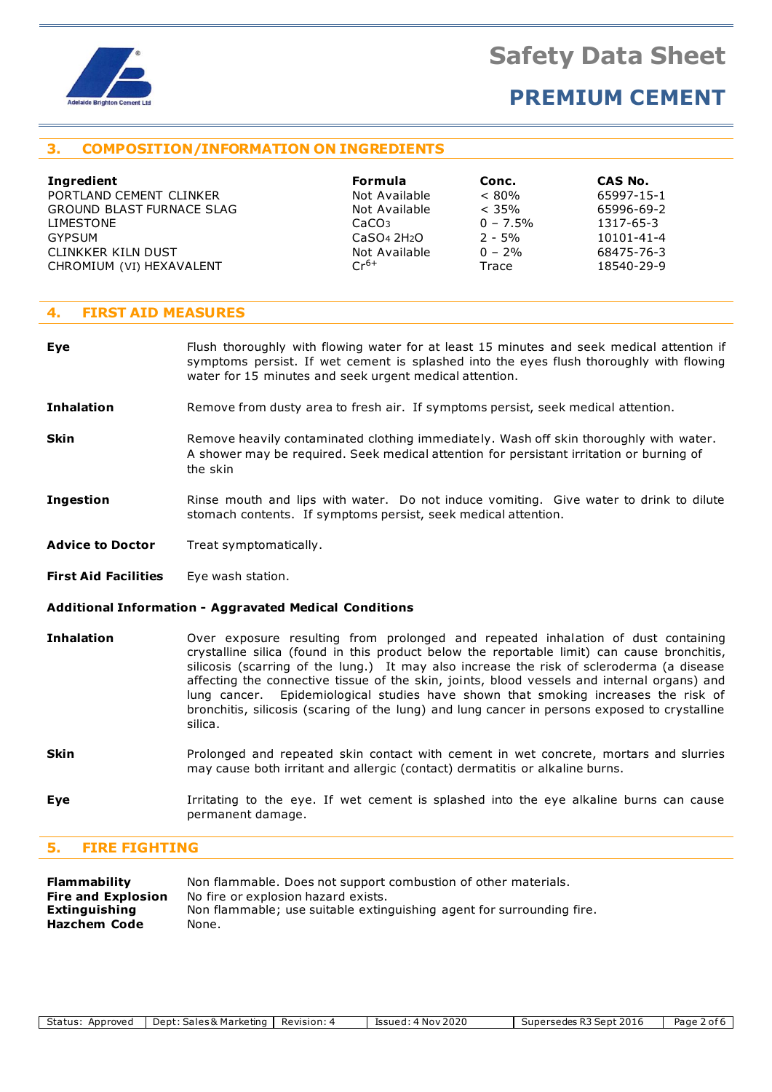

### **PREMIUM CEMENT**

#### **3. COMPOSITION/INFORMATION ON INGREDIENTS**

| <b>Formula</b>                      | Conc.       | CAS No.    |
|-------------------------------------|-------------|------------|
| Not Available                       | $< 80\%$    | 65997-15-1 |
| Not Available                       | $< 35\%$    | 65996-69-2 |
| CaCO <sub>3</sub>                   | $0 - 7.5\%$ | 1317-65-3  |
| CaSO <sub>4</sub> 2H <sub>2</sub> O | $2 - 5%$    | 10101-41-4 |
| Not Available                       | $0 - 2%$    | 68475-76-3 |
| $Cr^{6+}$                           | Trace       | 18540-29-9 |
|                                     |             |            |

| <b>Formula</b>                      | Conc.      | CAS No.    |
|-------------------------------------|------------|------------|
| Not Available                       | $< 80\%$   | 65997-15-1 |
| Not Available                       | $<$ 35%    | 65996-69-2 |
| CaCO <sub>3</sub>                   | $0 - 7.5%$ | 1317-65-3  |
| CaSO <sub>4</sub> 2H <sub>2</sub> O | $2 - 5%$   | 10101-41-4 |
| Not Available                       | $0 - 2\%$  | 68475-76-3 |
| $Cr^{6+}$                           | Trace      | 18540-29-9 |

#### **4. FIRST AID MEASURES**

- **Eye** Flush thoroughly with flowing water for at least 15 minutes and seek medical attention if symptoms persist. If wet cement is splashed into the eyes flush thoroughly with flowing water for 15 minutes and seek urgent medical attention.
- **Inhalation** Remove from dusty area to fresh air. If symptoms persist, seek medical attention.
- **Skin** Remove heavily contaminated clothing immediately. Wash off skin thoroughly with water. A shower may be required. Seek medical attention for persistant irritation or burning of the skin
- **Ingestion** Rinse mouth and lips with water. Do not induce vomiting. Give water to drink to dilute stomach contents. If symptoms persist, seek medical attention.
- Advice to Doctor Treat symptomatically.
- **First Aid Facilities** Eye wash station.

#### **Additional Information - Aggravated Medical Conditions**

- **Inhalation** Over exposure resulting from prolonged and repeated inhalation of dust containing crystalline silica (found in this product below the reportable limit) can cause bronchitis, silicosis (scarring of the lung.) It may also increase the risk of scleroderma (a disease affecting the connective tissue of the skin, joints, blood vessels and internal organs) and lung cancer. Epidemiological studies have shown that smoking increases the risk of bronchitis, silicosis (scaring of the lung) and lung cancer in persons exposed to crystalline silica.
- **Skin** Prolonged and repeated skin contact with cement in wet concrete, mortars and slurries may cause both irritant and allergic (contact) dermatitis or alkaline burns.
- **Eye I**rritating to the eye. If wet cement is splashed into the eye alkaline burns can cause permanent damage.

#### **5. FIRE FIGHTING**

| <b>Flammability</b>       | Non flammable. Does not support combustion of other materials.        |
|---------------------------|-----------------------------------------------------------------------|
| <b>Fire and Explosion</b> | No fire or explosion hazard exists.                                   |
| <b>Extinguishing</b>      | Non flammable; use suitable extinguishing agent for surrounding fire. |
| <b>Hazchem Code</b>       | None.                                                                 |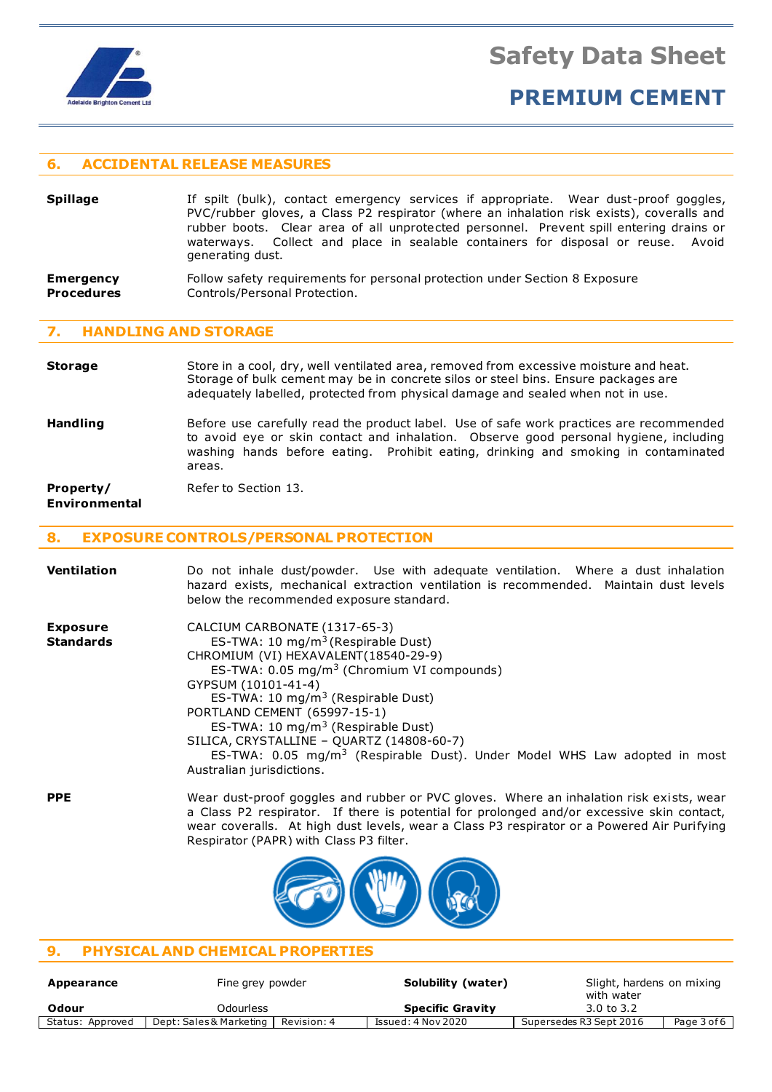

### **PREMIUM CEMENT**

#### **6. ACCIDENTAL RELEASE MEASURES**

**Spillage** If spilt (bulk), contact emergency services if appropriate. Wear dust-proof goggles, PVC/rubber gloves, a Class P2 respirator (where an inhalation risk exists), coveralls and rubber boots. Clear area of all unprotected personnel. Prevent spill entering drains or waterways. Collect and place in sealable containers for disposal or reuse. Avoid generating dust.

#### **Emergency** Follow safety requirements for personal protection under Section 8 Exposure **Procedures** Controls/Personal Protection.

#### **7. HANDLING AND STORAGE**

**Storage** Store in a cool, dry, well ventilated area, removed from excessive moisture and heat. Storage of bulk cement may be in concrete silos or steel bins. Ensure packages are adequately labelled, protected from physical damage and sealed when not in use.

**Handling** Before use carefully read the product label. Use of safe work practices are recommended to avoid eye or skin contact and inhalation. Observe good personal hygiene, including washing hands before eating. Prohibit eating, drinking and smoking in contaminated areas.

**Property/** Refer to Section 13.

#### **Environmental**

#### **8. EXPOSURE CONTROLS/PERSONAL PROTECTION**

| <b>Ventilation</b>                  | Do not inhale dust/powder. Use with adequate ventilation. Where a dust inhalation<br>hazard exists, mechanical extraction ventilation is recommended. Maintain dust levels<br>below the recommended exposure standard.                                                                                                                                                                                                                                                                                   |
|-------------------------------------|----------------------------------------------------------------------------------------------------------------------------------------------------------------------------------------------------------------------------------------------------------------------------------------------------------------------------------------------------------------------------------------------------------------------------------------------------------------------------------------------------------|
| <b>Exposure</b><br><b>Standards</b> | CALCIUM CARBONATE (1317-65-3)<br>ES-TWA: 10 mg/m <sup>3</sup> (Respirable Dust)<br>CHROMIUM (VI) HEXAVALENT (18540-29-9)<br>ES-TWA: 0.05 mg/m <sup>3</sup> (Chromium VI compounds)<br>GYPSUM (10101-41-4)<br>ES-TWA: 10 $mg/m3$ (Respirable Dust)<br>PORTLAND CEMENT (65997-15-1)<br>ES-TWA: 10 mg/m <sup>3</sup> (Respirable Dust)<br>SILICA, CRYSTALLINE - QUARTZ (14808-60-7)<br>ES-TWA: $0.05$ mg/m <sup>3</sup> (Respirable Dust). Under Model WHS Law adopted in most<br>Australian jurisdictions. |
| <b>PPE</b>                          | Wear dust-proof goggles and rubber or PVC gloves. Where an inhalation risk exists, wear<br>a Class P2 respirator. If there is potential for prolonged and/or excessive skin contact,<br>wear coveralls. At high dust levels, wear a Class P3 respirator or a Powered Air Purifying                                                                                                                                                                                                                       |



Respirator (PAPR) with Class P3 filter.

### **9. PHYSICAL AND CHEMICAL PROPERTIES**

| Appearance       | Fine grey powder                       | Solubility (water)      | Slight, hardens on mixing<br>with water |
|------------------|----------------------------------------|-------------------------|-----------------------------------------|
| Odour            | Odourless                              | <b>Specific Gravity</b> | 3.0 to 3.2                              |
| Status: Approved | Dept: Sales & Marketing<br>Revision: 4 | Issued: 4 Nov 2020      | Page 3 of 6<br>Supersedes R3 Sept 2016  |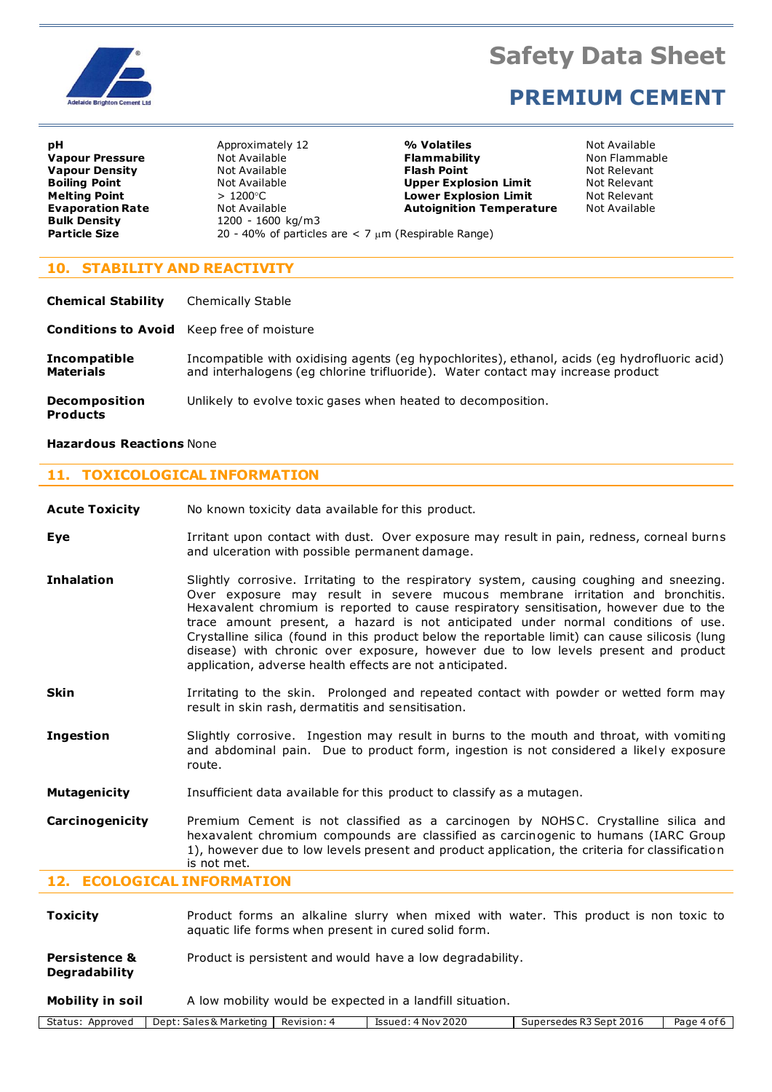

### **PREMIUM CEMENT**

**Bulk Density** 1200 - 1600 kg/m3<br> **Particle Size** 20 - 40% of particle

**pH** Approximately 12 **4 Million Approximately 12 9% Volatiles** Not Available **Vapour Pressure Not Available <b>Flammability Non Flammable Non Flammable Vapour Density Not Available 19 (Not Available 19) Flash Point Not Relevant Relevant Relevant Relevant Relevant Relevant Boiling Point Not Available <b>Upper Explosion Limit Upper Explosion Limit Melting Point Company of Alter State 2 and State 2 and State 2 and State 2 and State 2 and State 2 and State 3 and Explosion Limit and Not Relevant <b>Evaporation Temperature** Not Available **Autoignition Temperature 20 - 40% of particles are < 7 μm (Respirable Range)** 

#### **10. STABILITY AND REACTIVITY**

| <b>Chemical Stability</b>                        | <b>Chemically Stable</b>                                                                                                                                                        |
|--------------------------------------------------|---------------------------------------------------------------------------------------------------------------------------------------------------------------------------------|
| <b>Conditions to Avoid</b> Keep free of moisture |                                                                                                                                                                                 |
| <b>Incompatible</b><br>Materials                 | Incompatible with oxidising agents (eg hypochlorites), ethanol, acids (eg hydrofluoric acid)<br>and interhalogens (eq chlorine trifluoride). Water contact may increase product |
| <b>Decomposition</b><br><b>Products</b>          | Unlikely to evolve toxic gases when heated to decomposition.                                                                                                                    |

#### **Hazardous Reactions** None

#### **11. TOXICOLOGICAL INFORMATION**

**Acute Toxicity** No known toxicity data available for this product.

- **Eye I**rritant upon contact with dust. Over exposure may result in pain, redness, corneal burns and ulceration with possible permanent damage.
- **Inhalation** Slightly corrosive. Irritating to the respiratory system, causing coughing and sneezing. Over exposure may result in severe mucous membrane irritation and bronchitis. Hexavalent chromium is reported to cause respiratory sensitisation, however due to the trace amount present, a hazard is not anticipated under normal conditions of use. Crystalline silica (found in this product below the reportable limit) can cause silicosis (lung disease) with chronic over exposure, however due to low levels present and product application, adverse health effects are not anticipated.
- **Skin I**rritating to the skin. Prolonged and repeated contact with powder or wetted form may result in skin rash, dermatitis and sensitisation.
- **Ingestion** Slightly corrosive. Ingestion may result in burns to the mouth and throat, with vomiting and abdominal pain. Due to product form, ingestion is not considered a likely exposure route.
- **Mutagenicity** Insufficient data available for this product to classify as a mutagen.
- **Carcinogenicity** Premium Cement is not classified as a carcinogen by NOHSC. Crystalline silica and hexavalent chromium compounds are classified as carcinogenic to humans (IARC Group 1), however due to low levels present and product application, the criteria for classification is not met.

#### **12. ECOLOGICAL INFORMATION**

| <b>Toxicity</b>                                  | Product forms an alkaline slurry when mixed with water. This product is non toxic to<br>aquatic life forms when present in cured solid form. |
|--------------------------------------------------|----------------------------------------------------------------------------------------------------------------------------------------------|
| <b>Persistence &amp;</b><br><b>Degradability</b> | Product is persistent and would have a low degradability.                                                                                    |
| Mobility in soil                                 | A low mobility would be expected in a landfill situation.                                                                                    |

Status: Approved | Dept: Sales & Marketing | Revision: 4 | Issued: 4 Nov 2020 | Supersedes R3 Sept 2016 | Page 4 of 6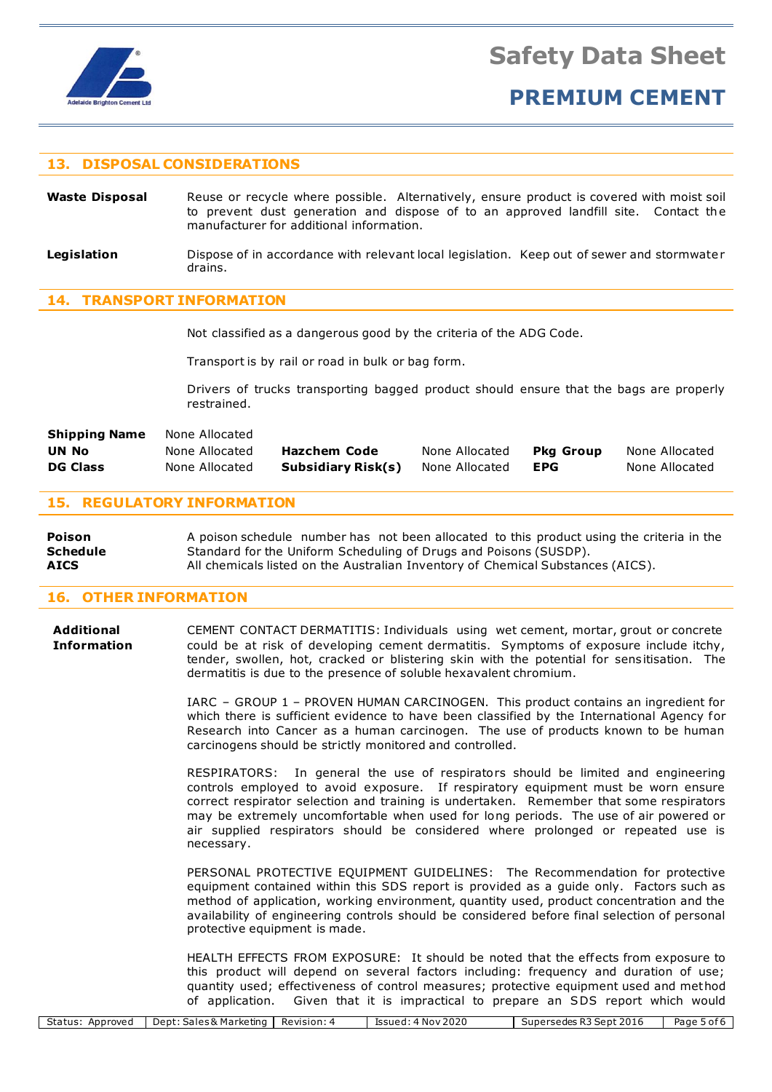

### **PREMIUM CEMENT**

#### **13. DISPOSAL CONSIDERATIONS**

Waste Disposal Reuse or recycle where possible. Alternatively, ensure product is covered with moist soil to prevent dust generation and dispose of to an approved landfill site. Contact the manufacturer for additional information.

**Legislation** Dispose of in accordance with relevant local legislation. Keep out of sewer and stormwater drains.

#### **14. TRANSPORT INFORMATION**

Not classified as a dangerous good by the criteria of the ADG Code.

Transport is by rail or road in bulk or bag form.

Drivers of trucks transporting bagged product should ensure that the bags are properly restrained.

| <b>Shipping Name</b> | None Allocated |                    |                |           |                |
|----------------------|----------------|--------------------|----------------|-----------|----------------|
| UN No                | None Allocated | Hazchem Code       | None Allocated | Pka Group | None Allocated |
| <b>DG Class</b>      | None Allocated | Subsidiary Risk(s) | None Allocated | EPG       | None Allocated |

#### **15. REGULATORY INFORMATION**

**Poison** A poison schedule number has not been allocated to this product using the criteria in the **Schedule** Standard for the Uniform Scheduling of Drugs and Poisons (SUSDP). **AICS** All chemicals listed on the Australian Inventory of Chemical Substances (AICS).

#### **16. OTHER INFORMATION**

**Additional** CEMENT CONTACT DERMATITIS: Individuals using wet cement, mortar, grout or concrete **Information** could be at risk of developing cement dermatitis. Symptoms of exposure include itchy, tender, swollen, hot, cracked or blistering skin with the potential for sensitisation. The dermatitis is due to the presence of soluble hexavalent chromium.

> IARC – GROUP 1 – PROVEN HUMAN CARCINOGEN. This product contains an ingredient for which there is sufficient evidence to have been classified by the International Agency for Research into Cancer as a human carcinogen. The use of products known to be human carcinogens should be strictly monitored and controlled.

> RESPIRATORS: In general the use of respirators should be limited and engineering controls employed to avoid exposure. If respiratory equipment must be worn ensure correct respirator selection and training is undertaken. Remember that some respirators may be extremely uncomfortable when used for long periods. The use of air powered or air supplied respirators should be considered where prolonged or repeated use is necessary.

> PERSONAL PROTECTIVE EQUIPMENT GUIDELINES: The Recommendation for protective equipment contained within this SDS report is provided as a guide only. Factors such as method of application, working environment, quantity used, product concentration and the availability of engineering controls should be considered before final selection of personal protective equipment is made.

> HEALTH EFFECTS FROM EXPOSURE: It should be noted that the effects from exposure to this product will depend on several factors including: frequency and duration of use; quantity used; effectiveness of control measures; protective equipment used and method of application. Given that it is impractical to prepare an SDS report which would